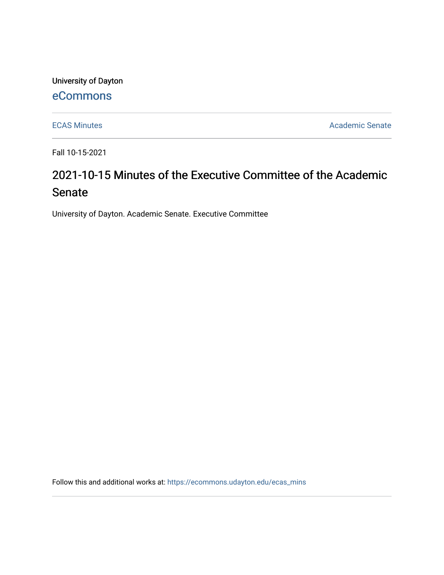University of Dayton

# [eCommons](https://ecommons.udayton.edu/)

[ECAS Minutes](https://ecommons.udayton.edu/ecas_mins) **Academic Senate** 

Fall 10-15-2021

# 2021-10-15 Minutes of the Executive Committee of the Academic Senate

University of Dayton. Academic Senate. Executive Committee

Follow this and additional works at: [https://ecommons.udayton.edu/ecas\\_mins](https://ecommons.udayton.edu/ecas_mins?utm_source=ecommons.udayton.edu%2Fecas_mins%2F553&utm_medium=PDF&utm_campaign=PDFCoverPages)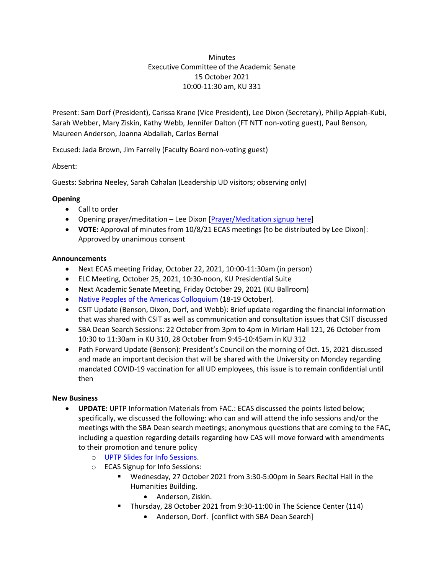# **Minutes** Executive Committee of the Academic Senate 15 October 2021 10:00-11:30 am, KU 331

Present: Sam Dorf (President), Carissa Krane (Vice President), Lee Dixon (Secretary), Philip Appiah-Kubi, Sarah Webber, Mary Ziskin, Kathy Webb, Jennifer Dalton (FT NTT non-voting guest), Paul Benson, Maureen Anderson, Joanna Abdallah, Carlos Bernal

Excused: Jada Brown, Jim Farrelly (Faculty Board non-voting guest)

Absent:

Guests: Sabrina Neeley, Sarah Cahalan (Leadership UD visitors; observing only)

## **Opening**

- Call to order
- Opening prayer/meditation Lee Dixon [\[Prayer/Meditation signup here\]](https://docs.google.com/document/d/1Say8mwTU7gLV_4XTtxgnfhOrTL-r7Z3r/edit?usp=sharing&ouid=114374222774523335638&rtpof=true&sd=true)
- **VOTE:** Approval of minutes from 10/8/21 ECAS meetings [to be distributed by Lee Dixon]: Approved by unanimous consent

### **Announcements**

- Next ECAS meeting Friday, October 22, 2021, 10:00-11:30am (in person)
- ELC Meeting, October 25, 2021, 10:30-noon, KU Presidential Suite
- Next Academic Senate Meeting, Friday October 29, 2021 (KU Ballroom)
- [Native Peoples of the Americas Colloquium](https://udayton.edu/artssciences/academics/race-ethnic/npac/index.php) (18-19 October).
- CSIT Update (Benson, Dixon, Dorf, and Webb): Brief update regarding the financial information that was shared with CSIT as well as communication and consultation issues that CSIT discussed
- SBA Dean Search Sessions: 22 October from 3pm to 4pm in Miriam Hall 121, 26 October from 10:30 to 11:30am in KU 310, 28 October from 9:45-10:45am in KU 312
- Path Forward Update (Benson): President's Council on the morning of Oct. 15, 2021 discussed and made an important decision that will be shared with the University on Monday regarding mandated COVID-19 vaccination for all UD employees, this issue is to remain confidential until then

### **New Business**

- **UPDATE:** UPTP Information Materials from FAC.: ECAS discussed the points listed below; specifically, we discussed the following: who can and will attend the info sessions and/or the meetings with the SBA Dean search meetings; anonymous questions that are coming to the FAC, including a question regarding details regarding how CAS will move forward with amendments to their promotion and tenure policy
	- o [UPTP Slides for Info Sessions.](https://docs.google.com/presentation/d/1C7DxU7Lj5Uju-79iWdW27MP6XBqilS-2/edit?usp=sharing&ouid=114374222774523335638&rtpof=true&sd=true)
	- o ECAS Signup for Info Sessions:
		- Wednesday, 27 October 2021 from 3:30-5:00pm in Sears Recital Hall in the Humanities Building.
			- Anderson, Ziskin.
		- Thursday, 28 October 2021 from 9:30-11:00 in The Science Center (114)
			- Anderson, Dorf. [conflict with SBA Dean Search]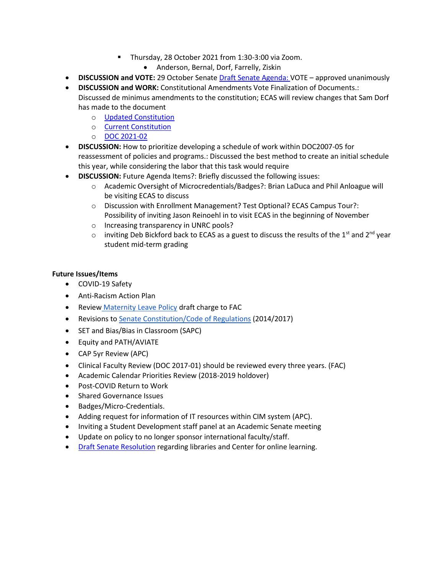- Thursday, 28 October 2021 from 1:30-3:00 via Zoom.
	- Anderson, Bernal, Dorf, Farrelly, Ziskin
- **DISCUSSION and VOTE:** 29 October Senate [Draft Senate Agenda:](https://docs.google.com/document/d/1096qBSfsvpievFhC5SX0d57RNHF-eXCN/edit?usp=sharing&ouid=114374222774523335638&rtpof=true&sd=true) VOTE approved unanimously
- **DISCUSSION and WORK:** Constitutional Amendments Vote Finalization of Documents.: Discussed de minimus amendments to the constitution; ECAS will review changes that Sam Dorf has made to the document
	- o [Updated Constitution](https://docs.google.com/document/d/1uppexRYzNvnkk4weM51WR7lJPrHs7BAk/edit?usp=sharing&ouid=114374222774523335638&rtpof=true&sd=true)
	- o [Current Constitution](https://ecommons.udayton.edu/senate_governance/12/)
	- o [DOC 2021-02](https://ecommons.udayton.edu/senate_docs/288/)
- **DISCUSSION:** How to prioritize developing a schedule of work within DOC2007-05 for reassessment of policies and programs.: Discussed the best method to create an initial schedule this year, while considering the labor that this task would require
- **DISCUSSION:** Future Agenda Items?: Briefly discussed the following issues:
	- o Academic Oversight of Microcredentials/Badges?: Brian LaDuca and Phil Anloague will be visiting ECAS to discuss
	- o Discussion with Enrollment Management? Test Optional? ECAS Campus Tour?: Possibility of inviting Jason Reinoehl in to visit ECAS in the beginning of November
	- o Increasing transparency in UNRC pools?
	- $\circ$  inviting Deb Bickford back to ECAS as a guest to discuss the results of the 1<sup>st</sup> and 2<sup>nd</sup> year student mid-term grading

### **Future Issues/Items**

- COVID-19 Safety
- Anti-Racism Action Plan
- **Review [Maternity Leave Policy](https://ecommons.udayton.edu/cgi/viewcontent.cgi?article=1038&context=senate_docs) draft charge to FAC**
- Revisions to [Senate Constitution/Code of Regulations](https://drive.google.com/file/d/1FE4HIp5nKgfgFEpzkthtUeF-u_54WgeA/view?usp=sharing) (2014/2017)
- SET and Bias/Bias in Classroom (SAPC)
- Equity and PATH/AVIATE
- CAP 5yr Review (APC)
- Clinical Faculty Review (DOC 2017-01) should be reviewed every three years. (FAC)
- Academic Calendar Priorities Review (2018-2019 holdover)
- Post-COVID Return to Work
- Shared Governance Issues
- Badges/Micro-Credentials.
- Adding request for information of IT resources within CIM system (APC).
- Inviting a Student Development staff panel at an Academic Senate meeting
- Update on policy to no longer sponsor international faculty/staff.
- [Draft Senate](https://docs.google.com/document/d/1xjJPkvF1RwPx6ox_v4-haphE0rYF4g6j/edit?usp=sharing&ouid=114374222774523335638&rtpof=true&sd=true) Resolution regarding libraries and Center for online learning.